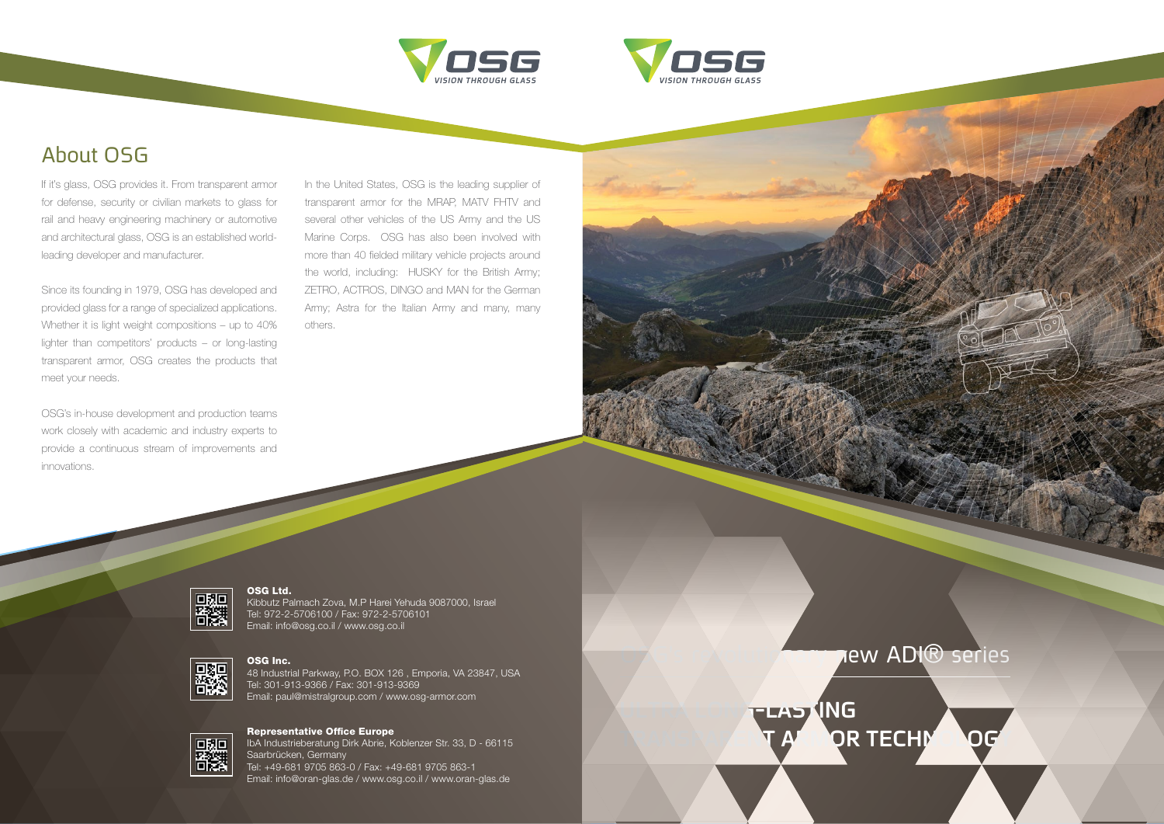



# About OSG



If it's glass, OSG provides it. From transparent armor for defense, security or civilian markets to glass for rail and heavy engineering machinery or automotive and architectural glass, OSG is an established worldleading developer and manufacturer.

Since its founding in 1979, OSG has developed and provided glass for a range of specialized applications. Whether it is light weight compositions – up to 40% lighter than competitors' products – or long-lasting transparent armor, OSG creates the products that meet your needs.

In the United States, OSG is the leading supplier of transparent armor for the MRAP, MATV FHTV and several other vehicles of the US Army and the US Marine Corps. OSG has also been involved with more than 40 fielded military vehicle projects around the world, including: HUSKY for the British Army; ZETRO, ACTROS, DINGO and MAN for the German Army; Astra for the Italian Army and many, many others.



OSG's in-house development and production teams work closely with academic and industry experts to provide a continuous stream of improvements and innovations.

### OSG Ltd.

Kibbutz Palmach Zova, M.P Harei Yehuda 9087000, Israel Tel: 972-2-5706100 / Fax: 972-2-5706101 Email: info@osg.co.il / www.osg.co.il



## OSG Inc.

48 Industrial Parkway, P.O. BOX 126 , Emporia, VA 23847, USA Tel: 301-913-9366 / Fax: 301-913-9369 Email: paul@mistralgroup.com / www.osg-armor.com



## Representative Office Europe

IbA Industrieberatung Dirk Abrie, Koblenzer Str. 33, D - 66115 Saarbrücken, Germany Tel: +49-681 9705 863-0 / Fax: +49-681 9705 863-1 Email: info@oran-glas.de / www.osg.co.il / www.oran-glas.de

LAST<sup>ING</sup>